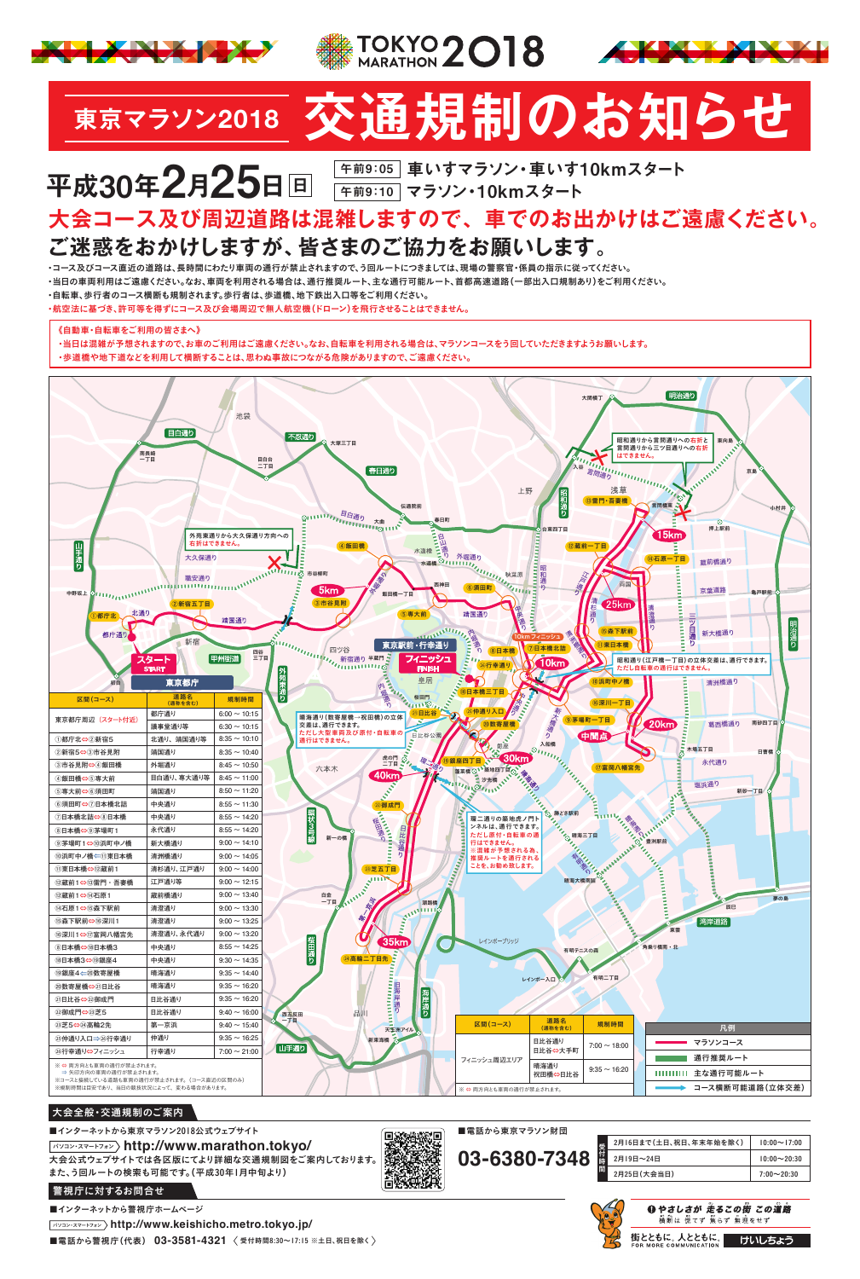# **ご迷惑をおかけしますが、皆さまのご協力をお願いします。**

# **大会コース及び周辺道路は混雑しますので、車でのお出かけはご遠慮ください。**

・コース及びコース直近の道路は、長時間にわたり車両の通行が禁止されますので、う回ルートにつきましては、現場の警察官・係員の指示に従ってください。

・当日の車両利用はご遠慮ください。なお、車両を利用される場合は、通行推奨ルート、主な通行可能ルート、首都高速道路(一部出入口規制あり)をご利用ください。

・自転車、歩行者のコース横断も規制されます。歩行者は、歩道橋、地下鉄出入口等をご利用ください。

・航空法に基づき、許可等を得ずにコース及び会場周辺で無人航空機(ドローン)を飛行させることはできません。

《自動車・自転車をご利用の皆さまへ》

・当日は混雑が予想されますので、お車のご利用はご遠慮ください。なお、自転車を利用される場合は、マラソンコースをう回していただきますようお願いします。

・歩道橋や地下道などを利用して横断することは、思わぬ事故につながる危険がありますので、ご遠慮ください。







# **東京マラソン<sup>2018</sup> 交通規制のお知らせ**

# **午前9:10 マラソン・10kmスタート** 平成30年2月25日回

<sub>午前9:05</sub>│車いすマラソン・車いす10kmスタート



| ・リロ」して【 ━ (44)109 DX」 」                                                                   | 日儿甘迪? | $3.00 - 10.20$    |       |        | 三通り<br>Ⅱ濡 |   |                        |                 |                   |          |                 |  |
|-------------------------------------------------------------------------------------------|-------|-------------------|-------|--------|-----------|---|------------------------|-----------------|-------------------|----------|-----------------|--|
| ⑵御成門⇔23芝5                                                                                 | 日比谷通り | $9:40 \sim 16:00$ |       | 西五反田   | 品川        | 뿕 |                        |                 |                   |          |                 |  |
| 23芝5⇔24高輪2先                                                                               | 第一京浜  | $9:40 \sim 15:40$ | $-TP$ |        | 天王洲アイル    |   | 区間(コース)                | 道路名<br>(通称を含む)  | 規制時間              |          | 凡例              |  |
| ②仲通り入口⇒2⑥行幸通り                                                                             | 仲通り   | $9:35 \sim 16:25$ |       | ▲ 山手通り | 新東海橋 6    |   |                        | 日比谷通り           | $7:00 \sim 18:00$ |          | マラソンコース         |  |
| 26行幸通り⇔フィニッシュ                                                                             | 行幸通り  | $7:00 \sim 21:00$ |       |        |           |   | フィニッシュ周辺エリア            | 日比谷⇔大手町         |                   |          | 通行推奨ルート         |  |
| ※ ⇔ 両方向とも車両の通行が禁止されます。<br>⇒ 矢印方向の車両の通行が禁止されます。<br>※コースと接続している道路も車両の通行が禁止されます。(コース直近の区間のみ) |       |                   |       |        |           |   |                        | 晴海通り<br>祝田橋⇔日比谷 | $9:35 \sim 16:20$ | ,,,,,,,, | 主な通行可能ルート       |  |
| ※規制時間は目安であり、当日の競技状況によって、変わる場合があります。                                                       |       |                   |       |        |           |   | ※ ⇔ 両方向とも車両の通行が禁止されます。 |                 |                   |          | コース横断可能道路(立体交差) |  |

#### 大会全般・交通規制のご案内

#### ■インターネットから東京マラソン2018公式ウェブサイト



パソコン・スマートフォン **http://www.marathon.tokyo/** 大会公式ウェブサイトでは各区版にてより詳細な交通規制図をご案内しております。 また、う回ルートの検索も可能です。(平成30年1月中旬より)

#### 警視庁に対するお問合せ

■インターネットから警視庁ホームページ



パソコン・スマートフォン **http://www.keishicho.metro.tokyo.jp/**

■電話から警視庁(代表) 03-3581-4321 〈受付時間8:30~17:15 ※土日、祝日を除く

| 2月16日まで (土日、祝日、年末年始を除く) | $10:00 \sim 17:00$ |
|-------------------------|--------------------|
| 2月19日~24日               | $10:00 \sim 20:30$ |
| i<br>2月25日 (大会当日)       | $7:00 \sim 20:30$  |